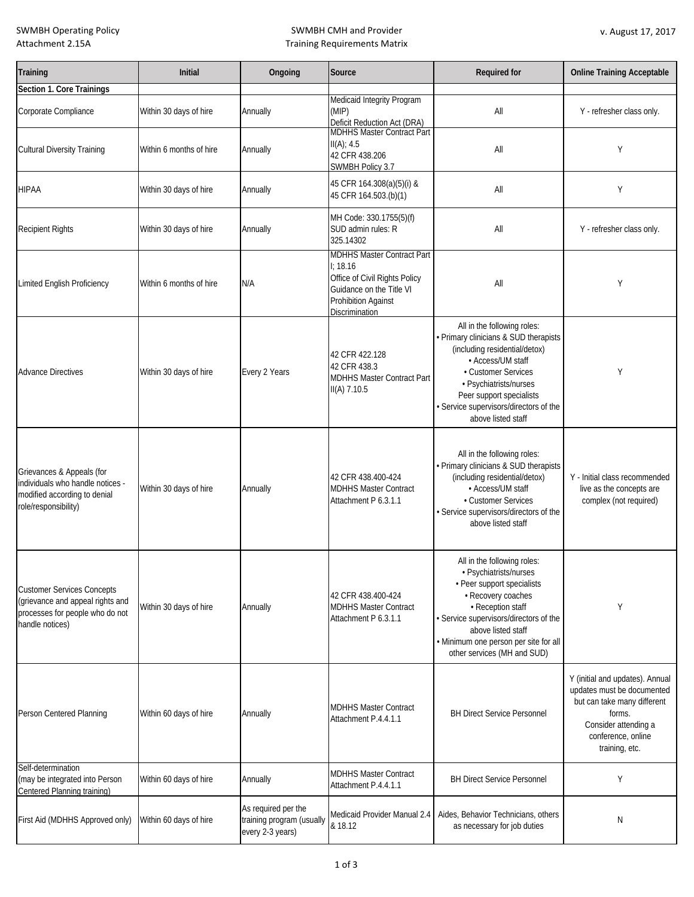SWMBH Operating Policy Attachment 2.15A

# SWMBH CMH and Provider Training Requirements Matrix

| Training                                                                                                                    | <b>Initial</b>          | Ongoing                                                              | Source                                                                                                                                                           | <b>Required for</b>                                                                                                                                                                                                                                                     | <b>Online Training Acceptable</b>                                                                                                                                      |
|-----------------------------------------------------------------------------------------------------------------------------|-------------------------|----------------------------------------------------------------------|------------------------------------------------------------------------------------------------------------------------------------------------------------------|-------------------------------------------------------------------------------------------------------------------------------------------------------------------------------------------------------------------------------------------------------------------------|------------------------------------------------------------------------------------------------------------------------------------------------------------------------|
| Section 1. Core Trainings                                                                                                   |                         |                                                                      |                                                                                                                                                                  |                                                                                                                                                                                                                                                                         |                                                                                                                                                                        |
| Corporate Compliance                                                                                                        | Within 30 days of hire  | Annually                                                             | Medicaid Integrity Program<br>(MIP)<br>Deficit Reduction Act (DRA)<br>MDHHS Master Contract Part                                                                 | All                                                                                                                                                                                                                                                                     | Y - refresher class only.                                                                                                                                              |
| <b>Cultural Diversity Training</b>                                                                                          | Within 6 months of hire | Annually                                                             | $II(A)$ ; 4.5<br>42 CFR 438.206<br>SWMBH Policy 3.7                                                                                                              | All                                                                                                                                                                                                                                                                     | Y                                                                                                                                                                      |
| <b>HIPAA</b>                                                                                                                | Within 30 days of hire  | Annually                                                             | 45 CFR 164.308(a)(5)(i) &<br>45 CFR 164.503.(b)(1)                                                                                                               | All                                                                                                                                                                                                                                                                     | Y                                                                                                                                                                      |
| <b>Recipient Rights</b>                                                                                                     | Within 30 days of hire  | Annually                                                             | MH Code: 330.1755(5)(f)<br>SUD admin rules: R<br>325.14302                                                                                                       | All                                                                                                                                                                                                                                                                     | Y - refresher class only.                                                                                                                                              |
| Limited English Proficiency                                                                                                 | Within 6 months of hire | N/A                                                                  | <b>MDHHS Master Contract Part</b><br>1:18.16<br>Office of Civil Rights Policy<br>Guidance on the Title VI<br><b>Prohibition Against</b><br><b>Discrimination</b> | All                                                                                                                                                                                                                                                                     | Y                                                                                                                                                                      |
| <b>Advance Directives</b>                                                                                                   | Within 30 days of hire  | Every 2 Years                                                        | 42 CFR 422.128<br>42 CFR 438.3<br><b>MDHHS Master Contract Part</b><br>II(A) 7.10.5                                                                              | All in the following roles:<br>· Primary clinicians & SUD therapists<br>(including residential/detox)<br>• Access/UM staff<br>• Customer Services<br>· Psychiatrists/nurses<br>Peer support specialists<br>· Service supervisors/directors of the<br>above listed staff | Υ                                                                                                                                                                      |
| Grievances & Appeals (for<br>individuals who handle notices -<br>modified according to denial<br>role/responsibility)       | Within 30 days of hire  | Annually                                                             | 42 CFR 438.400-424<br><b>MDHHS Master Contract</b><br>Attachment P 6.3.1.1                                                                                       | All in the following roles:<br>• Primary clinicians & SUD therapists<br>(including residential/detox)<br>• Access/UM staff<br>• Customer Services<br>· Service supervisors/directors of the<br>above listed staff                                                       | Y - Initial class recommended<br>live as the concepts are<br>complex (not required)                                                                                    |
| <b>Customer Services Concepts</b><br>(grievance and appeal rights and<br>processes for people who do not<br>handle notices) | Within 30 days of hire  | Annually                                                             | 42 CFR 438.400-424<br><b>MDHHS Master Contract</b><br>Attachment P 6.3.1.1                                                                                       | All in the following roles:<br>· Psychiatrists/nurses<br>• Peer support specialists<br>· Recovery coaches<br>• Reception staff<br>· Service supervisors/directors of the<br>above listed staff<br>· Minimum one person per site for all<br>other services (MH and SUD)  | Υ                                                                                                                                                                      |
| Person Centered Planning                                                                                                    | Within 60 days of hire  | Annually                                                             | <b>MDHHS Master Contract</b><br>Attachment P.4.4.1.1                                                                                                             | <b>BH Direct Service Personnel</b>                                                                                                                                                                                                                                      | Y (initial and updates). Annual<br>updates must be documented<br>but can take many different<br>forms.<br>Consider attending a<br>conference, online<br>training, etc. |
| Self-determination<br>(may be integrated into Person<br><b>Centered Planning training)</b>                                  | Within 60 days of hire  | Annually                                                             | <b>MDHHS Master Contract</b><br>Attachment P.4.4.1.1                                                                                                             | <b>BH Direct Service Personnel</b>                                                                                                                                                                                                                                      | Y                                                                                                                                                                      |
| First Aid (MDHHS Approved only)                                                                                             | Within 60 days of hire  | As required per the<br>training program (usually<br>every 2-3 years) | Medicaid Provider Manual 2.4<br>& 18.12                                                                                                                          | Aides, Behavior Technicians, others<br>as necessary for job duties                                                                                                                                                                                                      | N                                                                                                                                                                      |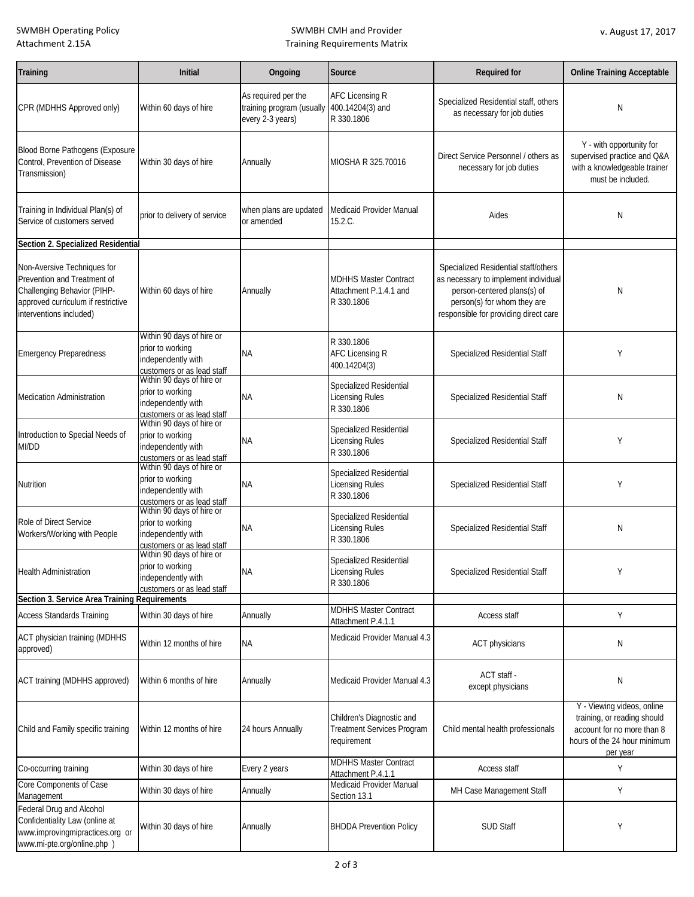# SWMBH CMH and Provider Training Requirements Matrix

| Training                                                                                                                                                   | <b>Initial</b>                                                                                                                  | Ongoing                                                              | Source                                                                 | <b>Required for</b>                                                                                                                                                                 | <b>Online Training Acceptable</b>                                                                                                   |
|------------------------------------------------------------------------------------------------------------------------------------------------------------|---------------------------------------------------------------------------------------------------------------------------------|----------------------------------------------------------------------|------------------------------------------------------------------------|-------------------------------------------------------------------------------------------------------------------------------------------------------------------------------------|-------------------------------------------------------------------------------------------------------------------------------------|
| CPR (MDHHS Approved only)                                                                                                                                  | Within 60 days of hire                                                                                                          | As required per the<br>training program (usually<br>every 2-3 years) | <b>AFC Licensing R</b><br>400.14204(3) and<br>R 330.1806               | Specialized Residential staff, others<br>as necessary for job duties                                                                                                                | N                                                                                                                                   |
| Blood Borne Pathogens (Exposure<br>Control, Prevention of Disease<br>Transmission)                                                                         | Within 30 days of hire                                                                                                          | Annually                                                             | MIOSHA R 325.70016                                                     | Direct Service Personnel / others as<br>necessary for job duties                                                                                                                    | Y - with opportunity for<br>supervised practice and Q&A<br>with a knowledgeable trainer<br>must be included.                        |
| Training in Individual Plan(s) of<br>Service of customers served                                                                                           | prior to delivery of service                                                                                                    | when plans are updated<br>or amended                                 | Medicaid Provider Manual<br>15.2.C.                                    | Aides                                                                                                                                                                               | Ν                                                                                                                                   |
| Section 2. Specialized Residential                                                                                                                         |                                                                                                                                 |                                                                      |                                                                        |                                                                                                                                                                                     |                                                                                                                                     |
| Non-Aversive Techniques for<br>Prevention and Treatment of<br>Challenging Behavior (PIHP-<br>approved curriculum if restrictive<br>interventions included) | Within 60 days of hire                                                                                                          | Annually                                                             | <b>MDHHS Master Contract</b><br>Attachment P.1.4.1 and<br>R 330.1806   | Specialized Residential staff/others<br>as necessary to implement individual<br>person-centered plans(s) of<br>person(s) for whom they are<br>responsible for providing direct care | Ν                                                                                                                                   |
| <b>Emergency Preparedness</b>                                                                                                                              | Within 90 days of hire or<br>prior to working<br>independently with<br>customers or as lead staff<br>Within 90 days of hire or  | ΝA                                                                   | R 330.1806<br><b>AFC Licensing R</b><br>400.14204(3)                   | <b>Specialized Residential Staff</b>                                                                                                                                                | Y                                                                                                                                   |
| <b>Medication Administration</b>                                                                                                                           | prior to working<br>independently with                                                                                          | ΝA                                                                   | Specialized Residential<br><b>Licensing Rules</b><br>R 330.1806        | <b>Specialized Residential Staff</b>                                                                                                                                                | Ν                                                                                                                                   |
| Introduction to Special Needs of<br>MI/DD                                                                                                                  | customers or as lead staff<br>Within 90 days of hire or<br>prior to working<br>independently with                               | <b>NA</b>                                                            | Specialized Residential<br><b>Licensing Rules</b><br>R 330.1806        | Specialized Residential Staff                                                                                                                                                       | Υ                                                                                                                                   |
| Nutrition                                                                                                                                                  | customers or as lead staff<br>Within 90 days of hire or<br>prior to working<br>independently with<br>customers or as lead staff | <b>NA</b>                                                            | Specialized Residential<br>Licensing Rules<br>R 330.1806               | Specialized Residential Staff                                                                                                                                                       | Υ                                                                                                                                   |
| Role of Direct Service<br>Workers/Working with People                                                                                                      | Within 90 days of hire or<br>prior to working<br>independently with<br>customers or as lead staff                               | <b>NA</b>                                                            | Specialized Residential<br><b>Licensing Rules</b><br>R 330.1806        | <b>Specialized Residential Staff</b>                                                                                                                                                | Ν                                                                                                                                   |
| <b>Health Administration</b>                                                                                                                               | Within 90 days of hire or<br>prior to working<br>independently with<br>customers or as lead staff                               | <b>NA</b>                                                            | Specialized Residential<br>Licensing Rules<br>R 330.1806               | Specialized Residential Staff                                                                                                                                                       |                                                                                                                                     |
| Section 3. Service Area Training Requirements                                                                                                              |                                                                                                                                 |                                                                      | <b>MDHHS Master Contract</b>                                           |                                                                                                                                                                                     |                                                                                                                                     |
| <b>Access Standards Training</b>                                                                                                                           | Within 30 days of hire                                                                                                          | Annually                                                             | Attachment P.4.1.1                                                     | <b>Access staff</b>                                                                                                                                                                 | Υ                                                                                                                                   |
| <b>ACT physician training (MDHHS</b><br>approved)                                                                                                          | Within 12 months of hire                                                                                                        | <b>NA</b>                                                            | Medicaid Provider Manual 4.3                                           | <b>ACT physicians</b>                                                                                                                                                               | Ν                                                                                                                                   |
| ACT training (MDHHS approved)                                                                                                                              | Within 6 months of hire                                                                                                         | Annually                                                             | Medicaid Provider Manual 4.3                                           | ACT staff -<br>except physicians                                                                                                                                                    | Ν                                                                                                                                   |
| Child and Family specific training                                                                                                                         | Within 12 months of hire                                                                                                        | 24 hours Annually                                                    | Children's Diagnostic and<br>Treatment Services Program<br>requirement | Child mental health professionals                                                                                                                                                   | Y - Viewing videos, online<br>training, or reading should<br>account for no more than 8<br>hours of the 24 hour minimum<br>per year |
| Co-occurring training                                                                                                                                      | Within 30 days of hire                                                                                                          | Every 2 years                                                        | <b>MDHHS Master Contract</b>                                           | Access staff                                                                                                                                                                        | Υ                                                                                                                                   |
| Core Components of Case<br>Management                                                                                                                      | Within 30 days of hire                                                                                                          | Annually                                                             | Attachment P.4.1.1<br>Medicaid Provider Manual<br>Section 13.1         | MH Case Management Staff                                                                                                                                                            | Υ                                                                                                                                   |
| Federal Drug and Alcohol<br>Confidentiality Law (online at<br>www.improvingmipractices.org or<br>www.mi-pte.org/online.php )                               | Within 30 days of hire                                                                                                          | Annually                                                             | <b>BHDDA Prevention Policy</b>                                         | <b>SUD Staff</b>                                                                                                                                                                    | Υ                                                                                                                                   |